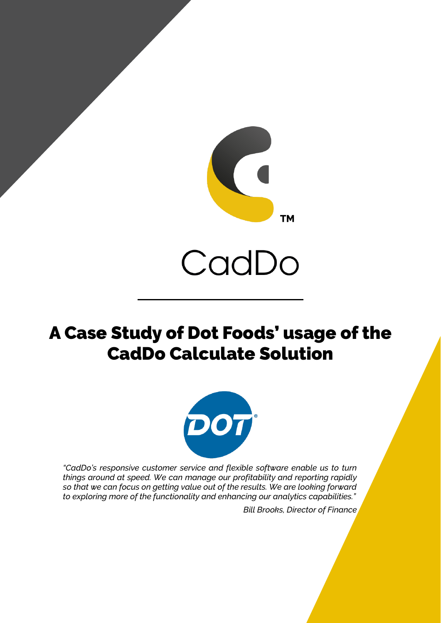

# CadDo

# A Case Study of Dot Foods' usage of the CadDo Calculate Solution



*"CadDo's responsive customer service and flexible software enable us to turn things around at speed. We can manage our profitability and reporting rapidly so that we can focus on getting value out of the results. We are looking forward to exploring more of the functionality and enhancing our analytics capabilities."*

*Bill Brooks, Director of Finance*